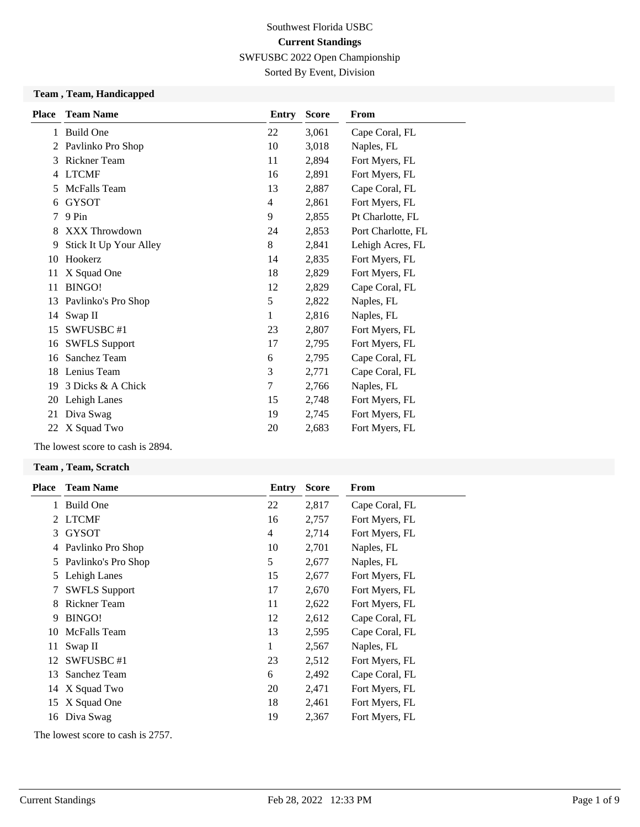Sorted By Event, Division

#### **Team , Team, Handicapped**

| <b>Place</b> | <b>Team Name</b>       | Entry          | <b>Score</b> | From               |
|--------------|------------------------|----------------|--------------|--------------------|
| 1            | <b>Build One</b>       | 22             | 3,061        | Cape Coral, FL     |
| 2            | Pavlinko Pro Shop      | 10             | 3,018        | Naples, FL         |
| 3            | <b>Rickner Team</b>    | 11             | 2,894        | Fort Myers, FL     |
| 4            | <b>LTCMF</b>           | 16             | 2,891        | Fort Myers, FL     |
| 5            | McFalls Team           | 13             | 2,887        | Cape Coral, FL     |
| 6            | <b>GYSOT</b>           | $\overline{4}$ | 2,861        | Fort Myers, FL     |
| 7            | 9 Pin                  | 9              | 2,855        | Pt Charlotte, FL   |
| 8            | <b>XXX Throwdown</b>   | 24             | 2,853        | Port Charlotte, FL |
| 9            | Stick It Up Your Alley | 8              | 2,841        | Lehigh Acres, FL   |
| 10           | Hookerz                | 14             | 2,835        | Fort Myers, FL     |
| 11           | X Squad One            | 18             | 2,829        | Fort Myers, FL     |
| 11           | BINGO!                 | 12             | 2,829        | Cape Coral, FL     |
|              | 13 Pavlinko's Pro Shop | 5              | 2,822        | Naples, FL         |
|              | 14 Swap II             | 1              | 2,816        | Naples, FL         |
| 15           | SWFUSBC#1              | 23             | 2,807        | Fort Myers, FL     |
| 16           | <b>SWFLS Support</b>   | 17             | 2,795        | Fort Myers, FL     |
| 16           | Sanchez Team           | 6              | 2,795        | Cape Coral, FL     |
| 18           | Lenius Team            | 3              | 2,771        | Cape Coral, FL     |
| 19           | 3 Dicks & A Chick      | 7              | 2,766        | Naples, FL         |
| 20           | Lehigh Lanes           | 15             | 2,748        | Fort Myers, FL     |
| 21           | Diva Swag              | 19             | 2,745        | Fort Myers, FL     |
| 22           | X Squad Two            | 20             | 2,683        | Fort Myers, FL     |
|              |                        |                |              |                    |

The lowest score to cash is 2894.

#### **Team , Team, Scratch**

| <b>Place</b> | <b>Team Name</b>     | Entry | <b>Score</b> | From           |
|--------------|----------------------|-------|--------------|----------------|
| 1            | Build One            | 22    | 2,817        | Cape Coral, FL |
|              | 2 LTCMF              | 16    | 2,757        | Fort Myers, FL |
| 3            | <b>GYSOT</b>         | 4     | 2,714        | Fort Myers, FL |
| 4            | Pavlinko Pro Shop    | 10    | 2,701        | Naples, FL     |
| 5            | Pavlinko's Pro Shop  | 5     | 2,677        | Naples, FL     |
| 5            | Lehigh Lanes         | 15    | 2,677        | Fort Myers, FL |
|              | <b>SWFLS Support</b> | 17    | 2,670        | Fort Myers, FL |
|              | Rickner Team         | 11    | 2,622        | Fort Myers, FL |
| 9            | BINGO!               | 12    | 2,612        | Cape Coral, FL |
| 10           | McFalls Team         | 13    | 2,595        | Cape Coral, FL |
| 11           | Swap II              | 1     | 2,567        | Naples, FL     |
| 12           | SWFUSBC#1            | 23    | 2,512        | Fort Myers, FL |
| 13           | Sanchez Team         | 6     | 2,492        | Cape Coral, FL |
|              | 14 X Squad Two       | 20    | 2,471        | Fort Myers, FL |
| 15           | X Squad One          | 18    | 2,461        | Fort Myers, FL |
| 16           | Diva Swag            | 19    | 2,367        | Fort Myers, FL |
|              |                      |       |              |                |

The lowest score to cash is 2757.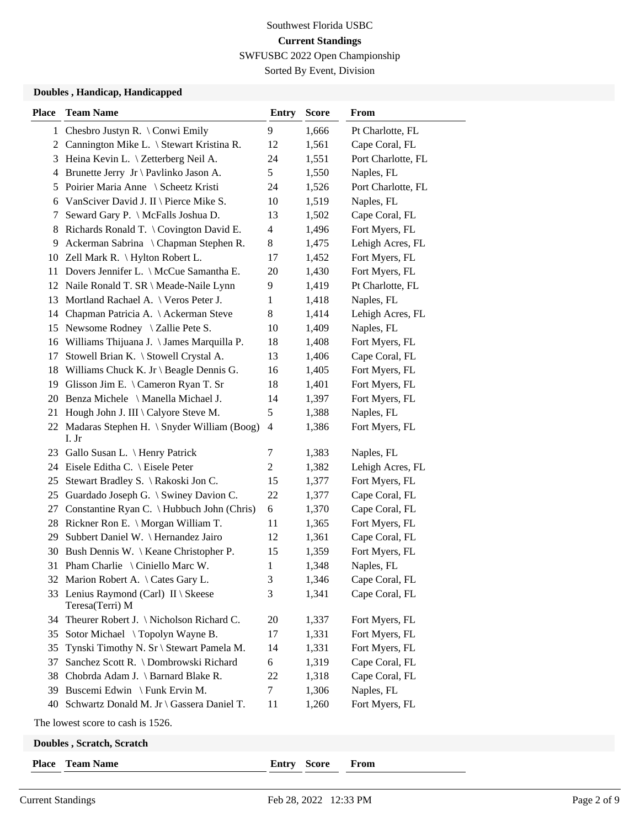Sorted By Event, Division

#### **Doubles , Handicap, Handicapped**

| <b>Place</b> | <b>Team Name</b>                                        | <b>Entry</b>             | <b>Score</b> | From               |
|--------------|---------------------------------------------------------|--------------------------|--------------|--------------------|
| 1            | Chesbro Justyn R. \ Conwi Emily                         | 9                        | 1,666        | Pt Charlotte, FL   |
| 2            | Cannington Mike L. \ Stewart Kristina R.                | 12                       | 1,561        | Cape Coral, FL     |
| 3            | Heina Kevin L. \ Zetterberg Neil A.                     | 24                       | 1,551        | Port Charlotte, FL |
| 4            | Brunette Jerry Jr \ Pavlinko Jason A.                   | 5                        | 1,550        | Naples, FL         |
| 5            | Poirier Maria Anne \ Scheetz Kristi                     | 24                       | 1,526        | Port Charlotte, FL |
| 6            | VanSciver David J. II \ Pierce Mike S.                  | 10                       | 1,519        | Naples, FL         |
| 7            | Seward Gary P. \ McFalls Joshua D.                      | 13                       | 1,502        | Cape Coral, FL     |
| 8            | Richards Ronald T. $\setminus$ Covington David E.       | $\overline{\mathcal{A}}$ | 1,496        | Fort Myers, FL     |
| 9            | Ackerman Sabrina \ Chapman Stephen R.                   | 8                        | 1,475        | Lehigh Acres, FL   |
| 10           | Zell Mark R. \ Hylton Robert L.                         | 17                       | 1,452        | Fort Myers, FL     |
| 11           | Dovers Jennifer L. \ McCue Samantha E.                  | 20                       | 1,430        | Fort Myers, FL     |
|              | 12 Naile Ronald T. SR \ Meade-Naile Lynn                | 9                        | 1,419        | Pt Charlotte, FL   |
| 13           | Mortland Rachael A. \ Veros Peter J.                    | 1                        | 1,418        | Naples, FL         |
| 14           | Chapman Patricia A. \ Ackerman Steve                    | $8\,$                    | 1,414        | Lehigh Acres, FL   |
| 15           | Newsome Rodney $\setminus$ Zallie Pete S.               | 10                       | 1,409        | Naples, FL         |
| 16           | Williams Thijuana J. \ James Marquilla P.               | 18                       | 1,408        | Fort Myers, FL     |
| 17           | Stowell Brian K. \ Stowell Crystal A.                   | 13                       | 1,406        | Cape Coral, FL     |
| 18           | Williams Chuck K. Jr \ Beagle Dennis G.                 | 16                       | 1,405        | Fort Myers, FL     |
| 19           | Glisson Jim E. \ Cameron Ryan T. Sr                     | 18                       | 1,401        | Fort Myers, FL     |
| 20           | Benza Michele \ Manella Michael J.                      | 14                       | 1,397        | Fort Myers, FL     |
| 21           | Hough John J. III \ Calyore Steve M.                    | 5                        | 1,388        | Naples, FL         |
| 22           | Madaras Stephen H. \ Snyder William (Boog)<br>I. Jr     | 4                        | 1,386        | Fort Myers, FL     |
|              | 23 Gallo Susan L. \ Henry Patrick                       | 7                        | 1,383        | Naples, FL         |
| 24           | Eisele Editha C. \ Eisele Peter                         | $\overline{c}$           | 1,382        | Lehigh Acres, FL   |
| 25           | Stewart Bradley S. \Rakoski Jon C.                      | 15                       | 1,377        | Fort Myers, FL     |
| 25           | Guardado Joseph G. \ Swiney Davion C.                   | 22                       | 1,377        | Cape Coral, FL     |
| 27           | Constantine Ryan C. \ Hubbuch John (Chris)              | 6                        | 1,370        | Cape Coral, FL     |
| 28           | Rickner Ron E. \ Morgan William T.                      | 11                       | 1,365        | Fort Myers, FL     |
| 29           | Subbert Daniel W. \ Hernandez Jairo                     | 12                       | 1,361        | Cape Coral, FL     |
| 30           | Bush Dennis W. \ Keane Christopher P.                   | 15                       | 1,359        | Fort Myers, FL     |
| 31           | Pham Charlie \ Ciniello Marc W.                         | 1                        | 1,348        | Naples, FL         |
|              | 32 Marion Robert A. \Cates Gary L.                      | 3                        | 1,346        | Cape Coral, FL     |
|              | 33 Lenius Raymond (Carl) II \ Skeese<br>Teresa(Terri) M | 3                        | 1,341        | Cape Coral, FL     |
| 34           | Theurer Robert J. \ Nicholson Richard C.                | 20                       | 1,337        | Fort Myers, FL     |
| 35           | Sotor Michael \Topolyn Wayne B.                         | 17                       | 1,331        | Fort Myers, FL     |
| 35           | Tynski Timothy N. Sr \ Stewart Pamela M.                | 14                       | 1,331        | Fort Myers, FL     |
| 37           | Sanchez Scott R. \ Dombrowski Richard                   | 6                        | 1,319        | Cape Coral, FL     |
| 38           | Chobrda Adam J. \ Barnard Blake R.                      | 22                       | 1,318        | Cape Coral, FL     |
| 39           | Buscemi Edwin \ Funk Ervin M.                           | 7                        | 1,306        | Naples, FL         |
| 40           | Schwartz Donald M. Jr \ Gassera Daniel T.               | 11                       | 1,260        | Fort Myers, FL     |
|              | The lowest score to cash is 1526.                       |                          |              |                    |

**Doubles , Scratch, Scratch**

| <b>Place</b> |  | <b>Team Name</b> |
|--------------|--|------------------|
|--------------|--|------------------|

**Place Team Name Entry Score From**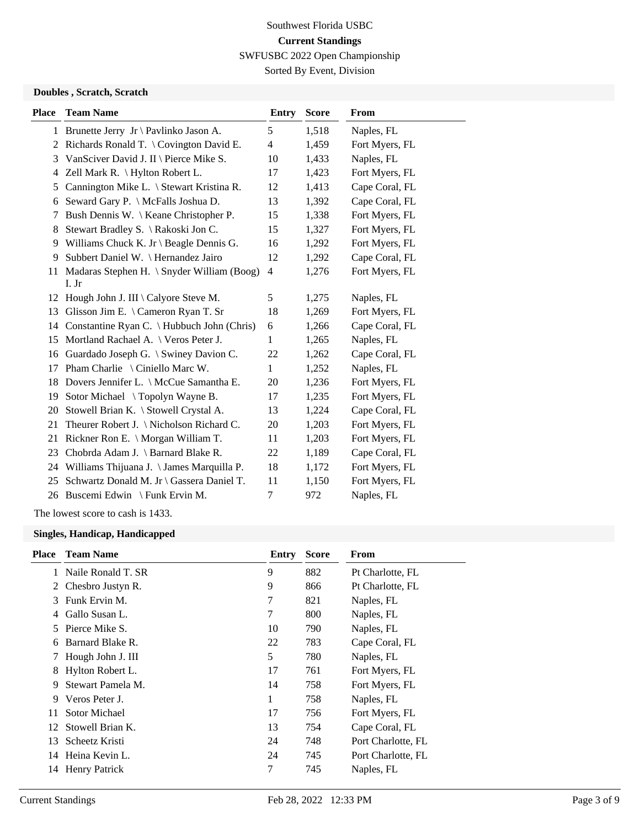Sorted By Event, Division

#### **Doubles , Scratch, Scratch**

| Place | <b>Team Name</b>                                    | <b>Entry</b>   | <b>Score</b> | From           |
|-------|-----------------------------------------------------|----------------|--------------|----------------|
|       | 1 Brunette Jerry Jr \ Pavlinko Jason A.             | 5              | 1,518        | Naples, FL     |
| 2     | Richards Ronald T. $\setminus$ Covington David E.   | $\overline{4}$ | 1,459        | Fort Myers, FL |
| 3     | VanSciver David J. II \ Pierce Mike S.              | 10             | 1,433        | Naples, FL     |
| 4     | Zell Mark R. \ Hylton Robert L.                     | 17             | 1,423        | Fort Myers, FL |
| 5     | Cannington Mike L. \ Stewart Kristina R.            | 12             | 1,413        | Cape Coral, FL |
| 6     | Seward Gary P. \ McFalls Joshua D.                  | 13             | 1,392        | Cape Coral, FL |
| 7     | Bush Dennis W. \ Keane Christopher P.               | 15             | 1,338        | Fort Myers, FL |
| 8     | Stewart Bradley S. \Rakoski Jon C.                  | 15             | 1,327        | Fort Myers, FL |
| 9     | Williams Chuck K. Jr \ Beagle Dennis G.             | 16             | 1,292        | Fort Myers, FL |
| 9     | Subbert Daniel W. \ Hernandez Jairo                 | 12             | 1,292        | Cape Coral, FL |
| 11    | Madaras Stephen H. \ Snyder William (Boog)<br>I. Jr | $\overline{4}$ | 1,276        | Fort Myers, FL |
| 12    | Hough John J. III \ Calyore Steve M.                | 5              | 1,275        | Naples, FL     |
| 13    | Glisson Jim E. \ Cameron Ryan T. Sr                 | 18             | 1,269        | Fort Myers, FL |
| 14    | Constantine Ryan C. \ Hubbuch John (Chris)          | 6              | 1,266        | Cape Coral, FL |
| 15    | Mortland Rachael A. \ Veros Peter J.                | 1              | 1,265        | Naples, FL     |
| 16    | Guardado Joseph G. \ Swiney Davion C.               | 22             | 1,262        | Cape Coral, FL |
| 17    | Pham Charlie \ Ciniello Marc W.                     | 1              | 1,252        | Naples, FL     |
| 18    | Dovers Jennifer L. \ McCue Samantha E.              | 20             | 1,236        | Fort Myers, FL |
| 19    | Sotor Michael \Topolyn Wayne B.                     | 17             | 1,235        | Fort Myers, FL |
| 20    | Stowell Brian K. \ Stowell Crystal A.               | 13             | 1,224        | Cape Coral, FL |
| 21    | Theurer Robert J. \ Nicholson Richard C.            | 20             | 1,203        | Fort Myers, FL |
| 21    | Rickner Ron E. \ Morgan William T.                  | 11             | 1,203        | Fort Myers, FL |
| 23    | Chobrda Adam J. \ Barnard Blake R.                  | 22             | 1,189        | Cape Coral, FL |
| 24    | Williams Thijuana J. \ James Marquilla P.           | 18             | 1,172        | Fort Myers, FL |
| 25    | Schwartz Donald M. Jr \ Gassera Daniel T.           | 11             | 1,150        | Fort Myers, FL |
|       | 26 Buscemi Edwin \ Funk Ervin M.                    | $\tau$         | 972          | Naples, FL     |
|       |                                                     |                |              |                |

The lowest score to cash is 1433.

#### **Singles, Handicap, Handicapped**

| <b>Place</b> | <b>Team Name</b>     | Entry | <b>Score</b> | From               |
|--------------|----------------------|-------|--------------|--------------------|
|              | Naile Ronald T. SR   | 9     | 882          | Pt Charlotte, FL   |
| 2            | Chesbro Justyn R.    | 9     | 866          | Pt Charlotte, FL   |
| 3            | Funk Ervin M.        | 7     | 821          | Naples, FL         |
|              | Gallo Susan L.       | 7     | 800          | Naples, FL         |
| 5.           | Pierce Mike S.       | 10    | 790          | Naples, FL         |
| 6            | Barnard Blake R.     | 22    | 783          | Cape Coral, FL     |
|              | Hough John J. III    | 5     | 780          | Naples, FL         |
| 8            | Hylton Robert L.     | 17    | 761          | Fort Myers, FL     |
| 9            | Stewart Pamela M.    | 14    | 758          | Fort Myers, FL     |
| 9            | Veros Peter J.       | 1     | 758          | Naples, FL         |
| 11           | <b>Sotor Michael</b> | 17    | 756          | Fort Myers, FL     |
| 12           | Stowell Brian K.     | 13    | 754          | Cape Coral, FL     |
| 13           | Scheetz Kristi       | 24    | 748          | Port Charlotte, FL |
| 14           | Heina Kevin L.       | 24    | 745          | Port Charlotte, FL |
| 14           | <b>Henry Patrick</b> | 7     | 745          | Naples, FL         |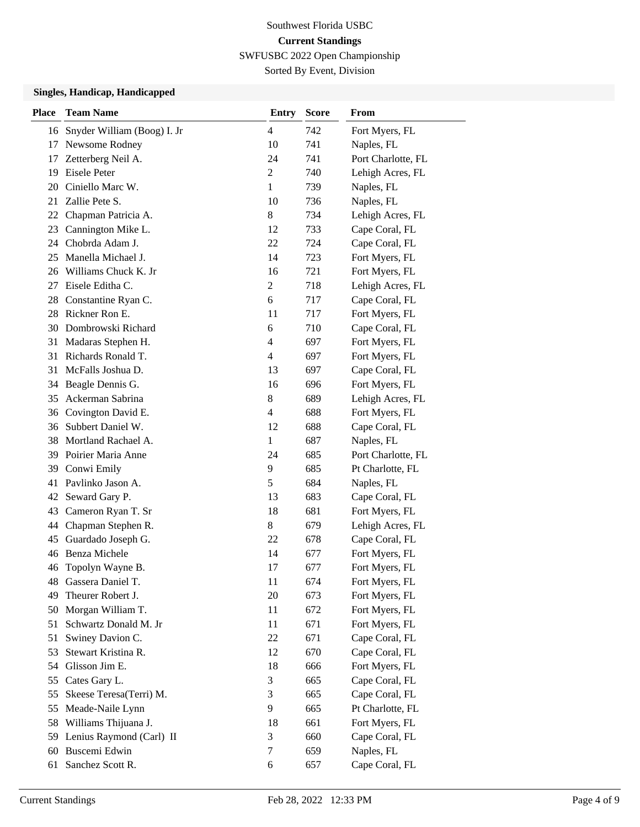Sorted By Event, Division

#### **Singles, Handicap, Handicapped**

| <b>Place</b> | <b>Team Name</b>                           | <b>Entry</b>   | <b>Score</b> | From                             |
|--------------|--------------------------------------------|----------------|--------------|----------------------------------|
| 16           | Snyder William (Boog) I. Jr                | $\overline{4}$ | 742          | Fort Myers, FL                   |
| 17           | Newsome Rodney                             | 10             | 741          | Naples, FL                       |
| 17           | Zetterberg Neil A.                         | 24             | 741          | Port Charlotte, FL               |
| 19           | Eisele Peter                               | $\overline{c}$ | 740          | Lehigh Acres, FL                 |
| 20           | Ciniello Marc W.                           | $\mathbf{1}$   | 739          | Naples, FL                       |
| 21           | Zallie Pete S.                             | 10             | 736          | Naples, FL                       |
| 22           | Chapman Patricia A.                        | 8              | 734          | Lehigh Acres, FL                 |
| 23           | Cannington Mike L.                         | 12             | 733          | Cape Coral, FL                   |
| 24           | Chobrda Adam J.                            | 22             | 724          | Cape Coral, FL                   |
| 25           | Manella Michael J.                         | 14             | 723          | Fort Myers, FL                   |
| 26           | Williams Chuck K. Jr                       | 16             | 721          | Fort Myers, FL                   |
| 27           | Eisele Editha C.                           | $\overline{c}$ | 718          | Lehigh Acres, FL                 |
| 28           | Constantine Ryan C.                        | 6              | 717          | Cape Coral, FL                   |
| 28           | Rickner Ron E.                             | 11             | 717          | Fort Myers, FL                   |
| 30           | Dombrowski Richard                         | 6              | 710          | Cape Coral, FL                   |
| 31           | Madaras Stephen H.                         | $\overline{4}$ | 697          | Fort Myers, FL                   |
| 31           | Richards Ronald T.                         | $\overline{4}$ | 697          | Fort Myers, FL                   |
| 31           | McFalls Joshua D.                          | 13             | 697          | Cape Coral, FL                   |
| 34           | Beagle Dennis G.                           | 16             | 696          | Fort Myers, FL                   |
| 35           | Ackerman Sabrina                           | $8\,$          | 689          | Lehigh Acres, FL                 |
| 36           | Covington David E.                         | $\overline{4}$ | 688          | Fort Myers, FL                   |
| 36           | Subbert Daniel W.                          | 12             | 688          | Cape Coral, FL                   |
| 38           | Mortland Rachael A.                        | $\mathbf{1}$   | 687          | Naples, FL                       |
|              | 39 Poirier Maria Anne                      | 24             | 685          | Port Charlotte, FL               |
| 39           | Conwi Emily                                | 9              | 685          | Pt Charlotte, FL                 |
| 41           | Pavlinko Jason A.                          | 5              | 684          | Naples, FL                       |
| 42           | Seward Gary P.                             | 13             | 683          | Cape Coral, FL                   |
| 43           | Cameron Ryan T. Sr                         | 18             | 681          | Fort Myers, FL                   |
| 44           | Chapman Stephen R.                         | $8\,$          | 679          | Lehigh Acres, FL                 |
| 45           | Guardado Joseph G.                         | 22             | 678          | Cape Coral, FL                   |
| 46           | <b>Benza Michele</b>                       | 14             | 677          | Fort Myers, FL                   |
| 46           | Topolyn Wayne B.                           | 17             | 677          | Fort Myers, FL                   |
| 48           | Gassera Daniel T.                          | 11             | 674          | Fort Myers, FL                   |
| 49           | Theurer Robert J.                          | 20             | 673          | Fort Myers, FL                   |
| 50           | Morgan William T.<br>Schwartz Donald M. Jr | 11             | 672          | Fort Myers, FL                   |
| 51<br>51     |                                            | 11<br>22       | 671          | Fort Myers, FL<br>Cape Coral, FL |
| 53           | Swiney Davion C.<br>Stewart Kristina R.    | 12             | 671<br>670   |                                  |
| 54           | Glisson Jim E.                             | 18             | 666          | Cape Coral, FL<br>Fort Myers, FL |
| 55           | Cates Gary L.                              | 3              | 665          | Cape Coral, FL                   |
| 55           | Skeese Teresa(Terri) M.                    | 3              | 665          | Cape Coral, FL                   |
| 55           | Meade-Naile Lynn                           | 9              | 665          | Pt Charlotte, FL                 |
| 58           | Williams Thijuana J.                       | 18             | 661          | Fort Myers, FL                   |
| 59           | Lenius Raymond (Carl) II                   | 3              | 660          | Cape Coral, FL                   |
| 60           | Buscemi Edwin                              | 7              | 659          | Naples, FL                       |
| 61           | Sanchez Scott R.                           | 6              | 657          | Cape Coral, FL                   |
|              |                                            |                |              |                                  |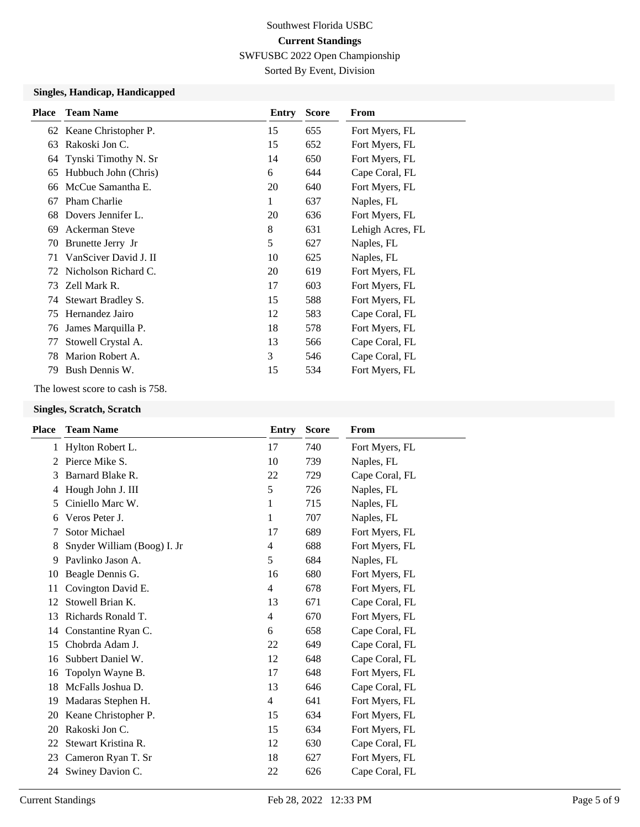SWFUSBC 2022 Open Championship

Sorted By Event, Division

#### **Singles, Handicap, Handicapped**

| <b>Place</b> | <b>Team Name</b>        | Entry | <b>Score</b> | From             |
|--------------|-------------------------|-------|--------------|------------------|
|              | 62 Keane Christopher P. | 15    | 655          | Fort Myers, FL   |
| 63           | Rakoski Jon C.          | 15    | 652          | Fort Myers, FL   |
| 64           | Tynski Timothy N. Sr    | 14    | 650          | Fort Myers, FL   |
| 65           | Hubbuch John (Chris)    | 6     | 644          | Cape Coral, FL   |
| 66           | McCue Samantha E.       | 20    | 640          | Fort Myers, FL   |
| 67           | <b>Pham Charlie</b>     | 1     | 637          | Naples, FL       |
| 68           | Dovers Jennifer L.      | 20    | 636          | Fort Myers, FL   |
| 69           | Ackerman Steve          | 8     | 631          | Lehigh Acres, FL |
| 70           | Brunette Jerry Jr       | 5     | 627          | Naples, FL       |
| 71           | VanSciver David J. II   | 10    | 625          | Naples, FL       |
| 72           | Nicholson Richard C.    | 20    | 619          | Fort Myers, FL   |
| 73           | Zell Mark R.            | 17    | 603          | Fort Myers, FL   |
| 74           | Stewart Bradley S.      | 15    | 588          | Fort Myers, FL   |
| 75           | Hernandez Jairo         | 12    | 583          | Cape Coral, FL   |
| 76           | James Marquilla P.      | 18    | 578          | Fort Myers, FL   |
| 77           | Stowell Crystal A.      | 13    | 566          | Cape Coral, FL   |
| 78           | Marion Robert A.        | 3     | 546          | Cape Coral, FL   |
| 79           | Bush Dennis W.          | 15    | 534          | Fort Myers, FL   |

The lowest score to cash is 758.

#### **Singles, Scratch, Scratch**

| <b>Team Name</b>            | <b>Entry</b>   | <b>Score</b> | From           |
|-----------------------------|----------------|--------------|----------------|
| Hylton Robert L.            | 17             | 740          | Fort Myers, FL |
| Pierce Mike S.              | 10             | 739          | Naples, FL     |
| Barnard Blake R.            | 22             | 729          | Cape Coral, FL |
| Hough John J. III           | 5              | 726          | Naples, FL     |
| Ciniello Marc W.            | 1              | 715          | Naples, FL     |
| Veros Peter J.              | 1              | 707          | Naples, FL     |
| Sotor Michael               | 17             | 689          | Fort Myers, FL |
| Snyder William (Boog) I. Jr | 4              | 688          | Fort Myers, FL |
| Pavlinko Jason A.           | 5              | 684          | Naples, FL     |
| Beagle Dennis G.            | 16             | 680          | Fort Myers, FL |
| Covington David E.          | $\overline{4}$ | 678          | Fort Myers, FL |
| Stowell Brian K.            | 13             | 671          | Cape Coral, FL |
| Richards Ronald T.          | 4              | 670          | Fort Myers, FL |
| Constantine Ryan C.         | 6              | 658          | Cape Coral, FL |
| Chobrda Adam J.             | 22             | 649          | Cape Coral, FL |
| Subbert Daniel W.           | 12             | 648          | Cape Coral, FL |
| Topolyn Wayne B.            | 17             | 648          | Fort Myers, FL |
| McFalls Joshua D.           | 13             | 646          | Cape Coral, FL |
| Madaras Stephen H.          | $\overline{4}$ | 641          | Fort Myers, FL |
| Keane Christopher P.        | 15             | 634          | Fort Myers, FL |
| Rakoski Jon C.              | 15             | 634          | Fort Myers, FL |
| Stewart Kristina R.         | 12             | 630          | Cape Coral, FL |
| Cameron Ryan T. Sr          | 18             | 627          | Fort Myers, FL |
| 24 Swiney Davion C.         | 22             | 626          | Cape Coral, FL |
|                             |                |              |                |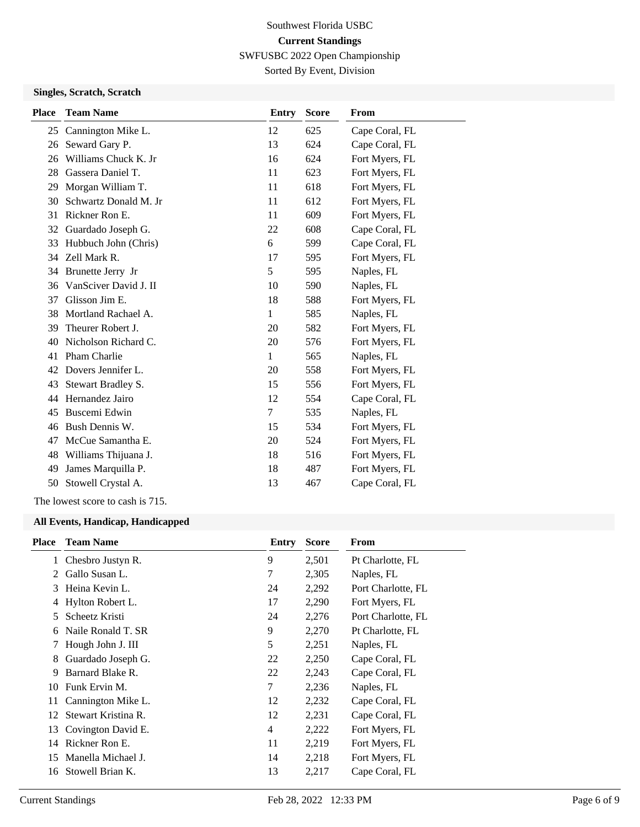SWFUSBC 2022 Open Championship

Sorted By Event, Division

#### **Singles, Scratch, Scratch**

| <b>Place</b> | <b>Team Name</b>      | Entry | <b>Score</b> | From           |
|--------------|-----------------------|-------|--------------|----------------|
| 25           | Cannington Mike L.    | 12    | 625          | Cape Coral, FL |
| 26           | Seward Gary P.        | 13    | 624          | Cape Coral, FL |
| 26           | Williams Chuck K. Jr  | 16    | 624          | Fort Myers, FL |
| 28           | Gassera Daniel T.     | 11    | 623          | Fort Myers, FL |
| 29           | Morgan William T.     | 11    | 618          | Fort Myers, FL |
| 30           | Schwartz Donald M. Jr | 11    | 612          | Fort Myers, FL |
| 31           | Rickner Ron E.        | 11    | 609          | Fort Myers, FL |
| 32           | Guardado Joseph G.    | 22    | 608          | Cape Coral, FL |
| 33           | Hubbuch John (Chris)  | 6     | 599          | Cape Coral, FL |
| 34           | Zell Mark R.          | 17    | 595          | Fort Myers, FL |
| 34           | Brunette Jerry Jr     | 5     | 595          | Naples, FL     |
| 36           | VanSciver David J. II | 10    | 590          | Naples, FL     |
| 37           | Glisson Jim E.        | 18    | 588          | Fort Myers, FL |
| 38           | Mortland Rachael A.   | 1     | 585          | Naples, FL     |
| 39           | Theurer Robert J.     | 20    | 582          | Fort Myers, FL |
| 40           | Nicholson Richard C.  | 20    | 576          | Fort Myers, FL |
| 41           | Pham Charlie          | 1     | 565          | Naples, FL     |
| 42           | Dovers Jennifer L.    | 20    | 558          | Fort Myers, FL |
| 43           | Stewart Bradley S.    | 15    | 556          | Fort Myers, FL |
| 44           | Hernandez Jairo       | 12    | 554          | Cape Coral, FL |
| 45           | Buscemi Edwin         | 7     | 535          | Naples, FL     |
| 46           | Bush Dennis W.        | 15    | 534          | Fort Myers, FL |
| 47           | McCue Samantha E.     | 20    | 524          | Fort Myers, FL |
| 48           | Williams Thijuana J.  | 18    | 516          | Fort Myers, FL |
| 49           | James Marquilla P.    | 18    | 487          | Fort Myers, FL |
| 50           | Stowell Crystal A.    | 13    | 467          | Cape Coral, FL |

The lowest score to cash is 715.

#### **All Events, Handicap, Handicapped**

| <b>Place</b> | <b>Team Name</b>    | Entry | <b>Score</b> | From               |
|--------------|---------------------|-------|--------------|--------------------|
| 1            | Chesbro Justyn R.   | 9     | 2,501        | Pt Charlotte, FL   |
| 2            | Gallo Susan L.      | 7     | 2,305        | Naples, FL         |
| 3            | Heina Kevin L.      | 24    | 2,292        | Port Charlotte, FL |
| 4            | Hylton Robert L.    | 17    | 2,290        | Fort Myers, FL     |
| 5.           | Scheetz Kristi      | 24    | 2,276        | Port Charlotte, FL |
| 6            | Naile Ronald T. SR  | 9     | 2,270        | Pt Charlotte, FL   |
| 7            | Hough John J. III   | 5     | 2,251        | Naples, FL         |
| 8            | Guardado Joseph G.  | 22    | 2,250        | Cape Coral, FL     |
| 9            | Barnard Blake R.    | 22    | 2,243        | Cape Coral, FL     |
| 10           | Funk Ervin M.       | 7     | 2,236        | Naples, FL         |
| 11           | Cannington Mike L.  | 12    | 2,232        | Cape Coral, FL     |
| 12           | Stewart Kristina R. | 12    | 2,231        | Cape Coral, FL     |
| 13           | Covington David E.  | 4     | 2,222        | Fort Myers, FL     |
| 14           | Rickner Ron E.      | 11    | 2,219        | Fort Myers, FL     |
| 15           | Manella Michael J.  | 14    | 2,218        | Fort Myers, FL     |
| 16           | Stowell Brian K.    | 13    | 2,217        | Cape Coral, FL     |
|              |                     |       |              |                    |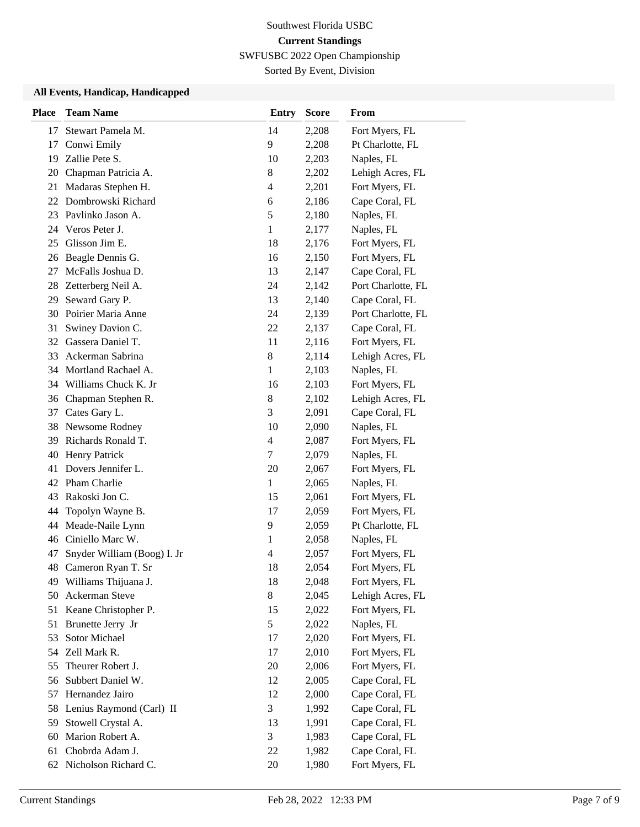SWFUSBC 2022 Open Championship

Sorted By Event, Division

#### **All Events, Handicap, Handicapped**

| <b>Place</b> | <b>Team Name</b>            | <b>Entry</b>             | <b>Score</b> | From               |
|--------------|-----------------------------|--------------------------|--------------|--------------------|
| 17           | Stewart Pamela M.           | 14                       | 2,208        | Fort Myers, FL     |
| 17           | Conwi Emily                 | 9                        | 2,208        | Pt Charlotte, FL   |
| 19           | Zallie Pete S.              | 10                       | 2,203        | Naples, FL         |
| 20           | Chapman Patricia A.         | $8\,$                    | 2,202        | Lehigh Acres, FL   |
| 21           | Madaras Stephen H.          | $\overline{\mathcal{L}}$ | 2,201        | Fort Myers, FL     |
| 22           | Dombrowski Richard          | 6                        | 2,186        | Cape Coral, FL     |
|              | 23 Pavlinko Jason A.        | 5                        | 2,180        | Naples, FL         |
| 24           | Veros Peter J.              | $\mathbf{1}$             | 2,177        | Naples, FL         |
| 25           | Glisson Jim E.              | 18                       | 2,176        | Fort Myers, FL     |
| 26           | Beagle Dennis G.            | 16                       | 2,150        | Fort Myers, FL     |
| 27           | McFalls Joshua D.           | 13                       | 2,147        | Cape Coral, FL     |
| 28           | Zetterberg Neil A.          | 24                       | 2,142        | Port Charlotte, FL |
| 29           | Seward Gary P.              | 13                       | 2,140        | Cape Coral, FL     |
| 30           | Poirier Maria Anne          | 24                       | 2,139        | Port Charlotte, FL |
| 31           | Swiney Davion C.            | 22                       | 2,137        | Cape Coral, FL     |
|              | 32 Gassera Daniel T.        | 11                       | 2,116        | Fort Myers, FL     |
| 33           | Ackerman Sabrina            | $8\,$                    | 2,114        | Lehigh Acres, FL   |
| 34           | Mortland Rachael A.         | $\mathbf{1}$             | 2,103        | Naples, FL         |
| 34           | Williams Chuck K. Jr        | 16                       | 2,103        | Fort Myers, FL     |
|              | 36 Chapman Stephen R.       | $\,8\,$                  | 2,102        | Lehigh Acres, FL   |
| 37           | Cates Gary L.               | 3                        | 2,091        | Cape Coral, FL     |
| 38           | Newsome Rodney              | 10                       | 2,090        | Naples, FL         |
| 39           | Richards Ronald T.          | $\overline{4}$           | 2,087        | Fort Myers, FL     |
| 40           | <b>Henry Patrick</b>        | $\tau$                   | 2,079        | Naples, FL         |
| 41           | Dovers Jennifer L.          | 20                       | 2,067        | Fort Myers, FL     |
| 42           | Pham Charlie                | 1                        | 2,065        | Naples, FL         |
| 43           | Rakoski Jon C.              | 15                       | 2,061        | Fort Myers, FL     |
| 44           | Topolyn Wayne B.            | 17                       | 2,059        | Fort Myers, FL     |
| 44           | Meade-Naile Lynn            | 9                        | 2,059        | Pt Charlotte, FL   |
| 46           | Ciniello Marc W.            | 1                        | 2,058        | Naples, FL         |
| 47           | Snyder William (Boog) I. Jr | 4                        | 2,057        | Fort Myers, FL     |
| 48           | Cameron Ryan T. Sr          | 18                       | 2,054        | Fort Myers, FL     |
|              | 49 Williams Thijuana J.     | 18                       | 2,048        | Fort Myers, FL     |
| 50           | Ackerman Steve              | 8                        | 2,045        | Lehigh Acres, FL   |
| 51           | Keane Christopher P.        | 15                       | 2,022        | Fort Myers, FL     |
| 51           | Brunette Jerry Jr           | 5                        | 2,022        | Naples, FL         |
| 53           | Sotor Michael               | 17                       | 2,020        | Fort Myers, FL     |
| 54           | Zell Mark R.                | 17                       | 2,010        | Fort Myers, FL     |
| 55           | Theurer Robert J.           | 20                       | 2,006        | Fort Myers, FL     |
| 56           | Subbert Daniel W.           | 12                       | 2,005        | Cape Coral, FL     |
| 57           | Hernandez Jairo             | 12                       | 2,000        | Cape Coral, FL     |
| 58           | Lenius Raymond (Carl) II    | 3                        | 1,992        | Cape Coral, FL     |
| 59           | Stowell Crystal A.          | 13                       | 1,991        | Cape Coral, FL     |
| 60           | Marion Robert A.            | 3                        | 1,983        | Cape Coral, FL     |
| 61           | Chobrda Adam J.             | 22                       | 1,982        | Cape Coral, FL     |
|              | 62 Nicholson Richard C.     | 20                       | 1,980        | Fort Myers, FL     |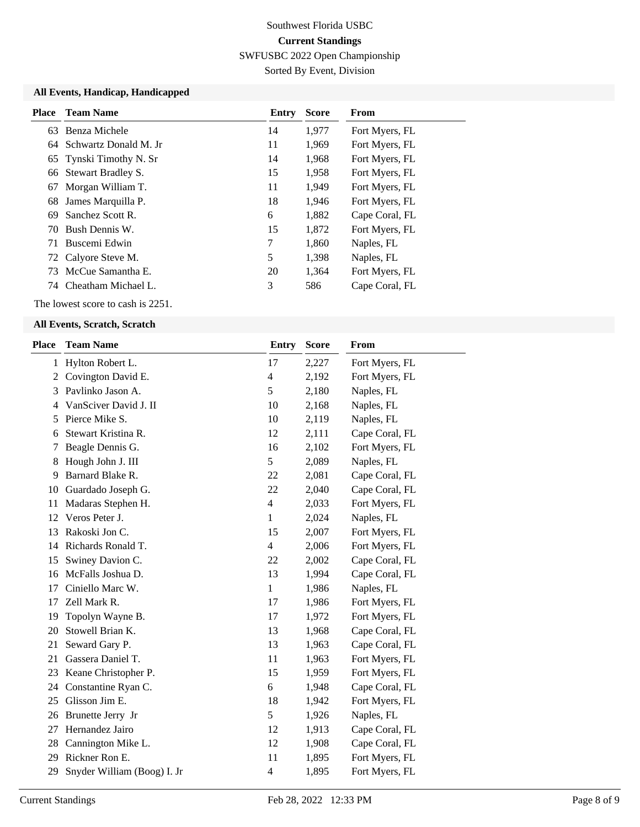SWFUSBC 2022 Open Championship

Sorted By Event, Division

#### **All Events, Handicap, Handicapped**

| <b>Place</b> | <b>Team Name</b>         | Entry | <b>Score</b> | From           |
|--------------|--------------------------|-------|--------------|----------------|
|              | 63 Benza Michele         | 14    | 1,977        | Fort Myers, FL |
|              | 64 Schwartz Donald M. Jr | 11    | 1,969        | Fort Myers, FL |
|              | 65 Tynski Timothy N. Sr  | 14    | 1,968        | Fort Myers, FL |
|              | 66 Stewart Bradley S.    | 15    | 1,958        | Fort Myers, FL |
| 67           | Morgan William T.        | 11    | 1,949        | Fort Myers, FL |
| 68           | James Marquilla P.       | 18    | 1,946        | Fort Myers, FL |
| 69           | Sanchez Scott R.         | 6     | 1,882        | Cape Coral, FL |
| 70           | Bush Dennis W.           | 15    | 1,872        | Fort Myers, FL |
| 71           | - Buscemi Edwin          | 7     | 1,860        | Naples, FL     |
|              | 72 Calyore Steve M.      | 5     | 1,398        | Naples, FL     |
|              | 73 McCue Samantha E.     | 20    | 1,364        | Fort Myers, FL |
|              | 74 Cheatham Michael L.   | 3     | 586          | Cape Coral, FL |

The lowest score to cash is 2251.

#### **All Events, Scratch, Scratch**

| <b>Place</b> | <b>Team Name</b>            | <b>Entry</b> | <b>Score</b> | From           |
|--------------|-----------------------------|--------------|--------------|----------------|
| $\mathbf{1}$ | Hylton Robert L.            | 17           | 2,227        | Fort Myers, FL |
| 2            | Covington David E.          | 4            | 2,192        | Fort Myers, FL |
| 3            | Pavlinko Jason A.           | 5            | 2,180        | Naples, FL     |
| 4            | VanSciver David J. II       | 10           | 2,168        | Naples, FL     |
| 5            | Pierce Mike S.              | 10           | 2,119        | Naples, FL     |
| 6            | Stewart Kristina R.         | 12           | 2,111        | Cape Coral, FL |
| 7            | Beagle Dennis G.            | 16           | 2,102        | Fort Myers, FL |
| 8            | Hough John J. III           | 5            | 2,089        | Naples, FL     |
| 9            | Barnard Blake R.            | 22           | 2,081        | Cape Coral, FL |
| 10           | Guardado Joseph G.          | 22           | 2,040        | Cape Coral, FL |
| 11           | Madaras Stephen H.          | 4            | 2,033        | Fort Myers, FL |
| 12           | Veros Peter J.              | $\mathbf{1}$ | 2,024        | Naples, FL     |
| 13           | Rakoski Jon C.              | 15           | 2,007        | Fort Myers, FL |
| 14           | Richards Ronald T.          | 4            | 2,006        | Fort Myers, FL |
| 15           | Swiney Davion C.            | 22           | 2,002        | Cape Coral, FL |
| 16           | McFalls Joshua D.           | 13           | 1,994        | Cape Coral, FL |
| 17           | Ciniello Marc W.            | $\mathbf{1}$ | 1,986        | Naples, FL     |
| 17           | Zell Mark R.                | 17           | 1,986        | Fort Myers, FL |
| 19           | Topolyn Wayne B.            | 17           | 1,972        | Fort Myers, FL |
| 20           | Stowell Brian K.            | 13           | 1,968        | Cape Coral, FL |
| 21           | Seward Gary P.              | 13           | 1,963        | Cape Coral, FL |
| 21           | Gassera Daniel T.           | 11           | 1,963        | Fort Myers, FL |
| 23           | Keane Christopher P.        | 15           | 1,959        | Fort Myers, FL |
| 24           | Constantine Ryan C.         | 6            | 1,948        | Cape Coral, FL |
| 25           | Glisson Jim E.              | 18           | 1,942        | Fort Myers, FL |
| 26           | Brunette Jerry Jr           | 5            | 1,926        | Naples, FL     |
| 27           | Hernandez Jairo             | 12           | 1,913        | Cape Coral, FL |
| 28           | Cannington Mike L.          | 12           | 1,908        | Cape Coral, FL |
| 29           | Rickner Ron E.              | 11           | 1,895        | Fort Myers, FL |
| 29           | Snyder William (Boog) I. Jr | 4            | 1,895        | Fort Myers, FL |